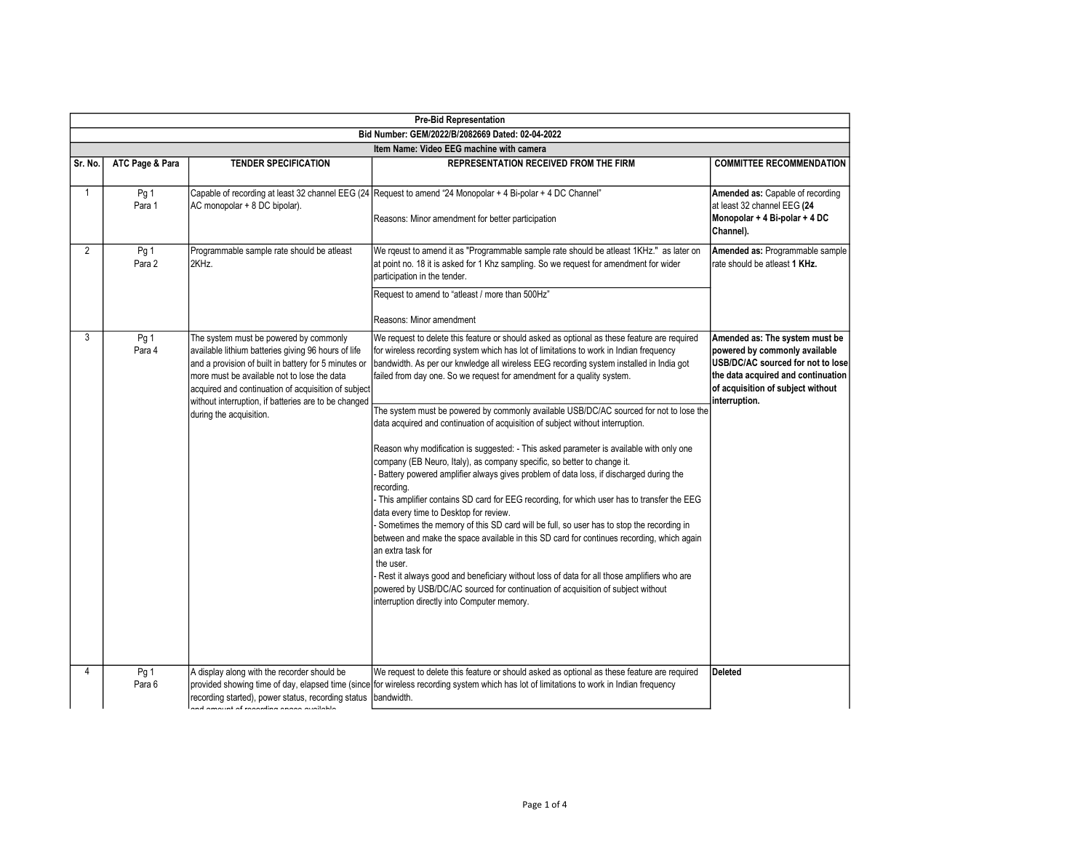|              | <b>Pre-Bid Representation</b>                    |                                                                                                                                                                                                                                                                                                                                                |                                                                                                                                                                                                                                                                                                                                                                                                                                                                                                                                                                                                                                                                                                                                                                                                                     |                                                                                                                                                                                                  |  |  |
|--------------|--------------------------------------------------|------------------------------------------------------------------------------------------------------------------------------------------------------------------------------------------------------------------------------------------------------------------------------------------------------------------------------------------------|---------------------------------------------------------------------------------------------------------------------------------------------------------------------------------------------------------------------------------------------------------------------------------------------------------------------------------------------------------------------------------------------------------------------------------------------------------------------------------------------------------------------------------------------------------------------------------------------------------------------------------------------------------------------------------------------------------------------------------------------------------------------------------------------------------------------|--------------------------------------------------------------------------------------------------------------------------------------------------------------------------------------------------|--|--|
|              | Bid Number: GEM/2022/B/2082669 Dated: 02-04-2022 |                                                                                                                                                                                                                                                                                                                                                |                                                                                                                                                                                                                                                                                                                                                                                                                                                                                                                                                                                                                                                                                                                                                                                                                     |                                                                                                                                                                                                  |  |  |
|              | Item Name: Video EEG machine with camera         |                                                                                                                                                                                                                                                                                                                                                |                                                                                                                                                                                                                                                                                                                                                                                                                                                                                                                                                                                                                                                                                                                                                                                                                     |                                                                                                                                                                                                  |  |  |
| Sr. No.      | ATC Page & Para                                  | <b>TENDER SPECIFICATION</b>                                                                                                                                                                                                                                                                                                                    | REPRESENTATION RECEIVED FROM THE FIRM                                                                                                                                                                                                                                                                                                                                                                                                                                                                                                                                                                                                                                                                                                                                                                               | <b>COMMITTEE RECOMMENDATION</b>                                                                                                                                                                  |  |  |
| $\mathbf{1}$ | Pg 1<br>Para 1                                   | AC monopolar + 8 DC bipolar).                                                                                                                                                                                                                                                                                                                  | Capable of recording at least 32 channel EEG (24 Request to amend "24 Monopolar + 4 Bi-polar + 4 DC Channel"<br>Reasons: Minor amendment for better participation                                                                                                                                                                                                                                                                                                                                                                                                                                                                                                                                                                                                                                                   | Amended as: Capable of recording<br>at least 32 channel EEG (24<br>Monopolar + 4 Bi-polar + 4 DC<br>Channel).                                                                                    |  |  |
| 2            | Pg 1<br>Para 2                                   | Programmable sample rate should be atleast<br>2KHz.                                                                                                                                                                                                                                                                                            | We rqeust to amend it as "Programmable sample rate should be atleast 1KHz." as later on<br>at point no. 18 it is asked for 1 Khz sampling. So we request for amendment for wider<br>participation in the tender.                                                                                                                                                                                                                                                                                                                                                                                                                                                                                                                                                                                                    | Amended as: Programmable sample<br>rate should be atleast 1 KHz.                                                                                                                                 |  |  |
|              |                                                  |                                                                                                                                                                                                                                                                                                                                                | Request to amend to "atleast / more than 500Hz"                                                                                                                                                                                                                                                                                                                                                                                                                                                                                                                                                                                                                                                                                                                                                                     |                                                                                                                                                                                                  |  |  |
|              |                                                  |                                                                                                                                                                                                                                                                                                                                                | Reasons: Minor amendment                                                                                                                                                                                                                                                                                                                                                                                                                                                                                                                                                                                                                                                                                                                                                                                            |                                                                                                                                                                                                  |  |  |
| 3            | Pg 1<br>Para 4                                   | The system must be powered by commonly<br>available lithium batteries giving 96 hours of life<br>and a provision of built in battery for 5 minutes or<br>more must be available not to lose the data<br>acquired and continuation of acquisition of subject<br>without interruption, if batteries are to be changed<br>during the acquisition. | We request to delete this feature or should asked as optional as these feature are required<br>for wireless recording system which has lot of limitations to work in Indian frequency<br>bandwidth. As per our knwledge all wireless EEG recording system installed in India got<br>failed from day one. So we request for amendment for a quality system.<br>The system must be powered by commonly available USB/DC/AC sourced for not to lose the<br>data acquired and continuation of acquisition of subject without interruption.<br>Reason why modification is suggested: - This asked parameter is available with only one<br>company (EB Neuro, Italy), as company specific, so better to change it.<br>Battery powered amplifier always gives problem of data loss, if discharged during the<br>recording. | Amended as: The system must be<br>powered by commonly available<br>USB/DC/AC sourced for not to lose<br>the data acquired and continuation<br>of acquisition of subject without<br>interruption. |  |  |
|              |                                                  |                                                                                                                                                                                                                                                                                                                                                | - This amplifier contains SD card for EEG recording, for which user has to transfer the EEG<br>data every time to Desktop for review.<br>- Sometimes the memory of this SD card will be full, so user has to stop the recording in<br>between and make the space available in this SD card for continues recording, which again<br>an extra task for<br>the user.<br>- Rest it always good and beneficiary without loss of data for all those amplifiers who are<br>powered by USB/DC/AC sourced for continuation of acquisition of subject without<br>interruption directly into Computer memory.                                                                                                                                                                                                                  |                                                                                                                                                                                                  |  |  |
| 4            | Pg 1<br>Para 6                                   | A display along with the recorder should be<br>recording started), power status, recording status bandwidth.<br>والطمائماتم ومممو مماليتمومو فمرقب لمتسومه                                                                                                                                                                                     | We request to delete this feature or should asked as optional as these feature are required<br>provided showing time of day, elapsed time (since for wireless recording system which has lot of limitations to work in Indian frequency                                                                                                                                                                                                                                                                                                                                                                                                                                                                                                                                                                             | Deleted                                                                                                                                                                                          |  |  |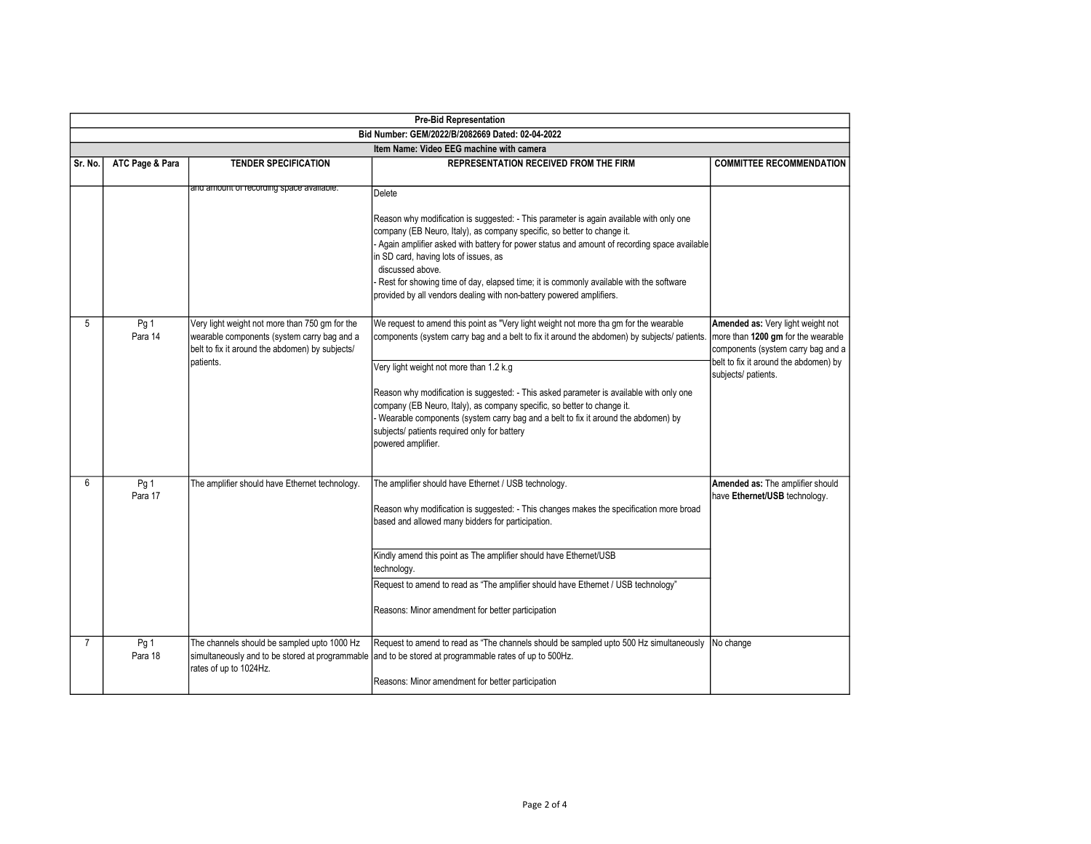|                                          | <b>Pre-Bid Representation</b>                    |                                                                                                                                                               |                                                                                                                                                                                                                                                                                                                                                                                                                                                                                                                                                                   |                                                                                                                                                                               |  |  |
|------------------------------------------|--------------------------------------------------|---------------------------------------------------------------------------------------------------------------------------------------------------------------|-------------------------------------------------------------------------------------------------------------------------------------------------------------------------------------------------------------------------------------------------------------------------------------------------------------------------------------------------------------------------------------------------------------------------------------------------------------------------------------------------------------------------------------------------------------------|-------------------------------------------------------------------------------------------------------------------------------------------------------------------------------|--|--|
|                                          | Bid Number: GEM/2022/B/2082669 Dated: 02-04-2022 |                                                                                                                                                               |                                                                                                                                                                                                                                                                                                                                                                                                                                                                                                                                                                   |                                                                                                                                                                               |  |  |
| Item Name: Video EEG machine with camera |                                                  |                                                                                                                                                               |                                                                                                                                                                                                                                                                                                                                                                                                                                                                                                                                                                   |                                                                                                                                                                               |  |  |
| Sr. No.                                  | ATC Page & Para                                  | <b>TENDER SPECIFICATION</b>                                                                                                                                   | <b>REPRESENTATION RECEIVED FROM THE FIRM</b>                                                                                                                                                                                                                                                                                                                                                                                                                                                                                                                      | <b>COMMITTEE RECOMMENDATION</b>                                                                                                                                               |  |  |
|                                          |                                                  | and amount or recording space available.                                                                                                                      | Delete<br>Reason why modification is suggested: - This parameter is again available with only one<br>company (EB Neuro, Italy), as company specific, so better to change it.<br>Again amplifier asked with battery for power status and amount of recording space available<br>in SD card, having lots of issues, as<br>discussed above.<br>Rest for showing time of day, elapsed time; it is commonly available with the software<br>provided by all vendors dealing with non-battery powered amplifiers.                                                        |                                                                                                                                                                               |  |  |
| 5                                        | Pg 1<br>Para 14                                  | Very light weight not more than 750 gm for the<br>wearable components (system carry bag and a<br>belt to fix it around the abdomen) by subjects/<br>patients. | We request to amend this point as "Very light weight not more tha gm for the wearable<br>components (system carry bag and a belt to fix it around the abdomen) by subjects/ patients.<br>Very light weight not more than 1.2 k.g<br>Reason why modification is suggested: - This asked parameter is available with only one<br>company (EB Neuro, Italy), as company specific, so better to change it.<br>Wearable components (system carry bag and a belt to fix it around the abdomen) by<br>subjects/ patients required only for battery<br>powered amplifier. | Amended as: Very light weight not<br>more than 1200 gm for the wearable<br>components (system carry bag and a<br>belt to fix it around the abdomen) by<br>subjects/ patients. |  |  |
| 6                                        | Pg 1<br>Para 17                                  | The amplifier should have Ethernet technology.                                                                                                                | The amplifier should have Ethernet / USB technology.<br>Reason why modification is suggested: - This changes makes the specification more broad<br>based and allowed many bidders for participation.<br>Kindly amend this point as The amplifier should have Ethernet/USB<br>technology.<br>Request to amend to read as "The amplifier should have Ethernet / USB technology"<br>Reasons: Minor amendment for better participation                                                                                                                                | Amended as: The amplifier should<br>have Ethernet/USB technology.                                                                                                             |  |  |
| $\overline{7}$                           | Pg 1<br>Para 18                                  | The channels should be sampled upto 1000 Hz<br>rates of up to 1024Hz.                                                                                         | Request to amend to read as "The channels should be sampled upto 500 Hz simultaneously<br>simultaneously and to be stored at programmable and to be stored at programmable rates of up to 500Hz.<br>Reasons: Minor amendment for better participation                                                                                                                                                                                                                                                                                                             | No change                                                                                                                                                                     |  |  |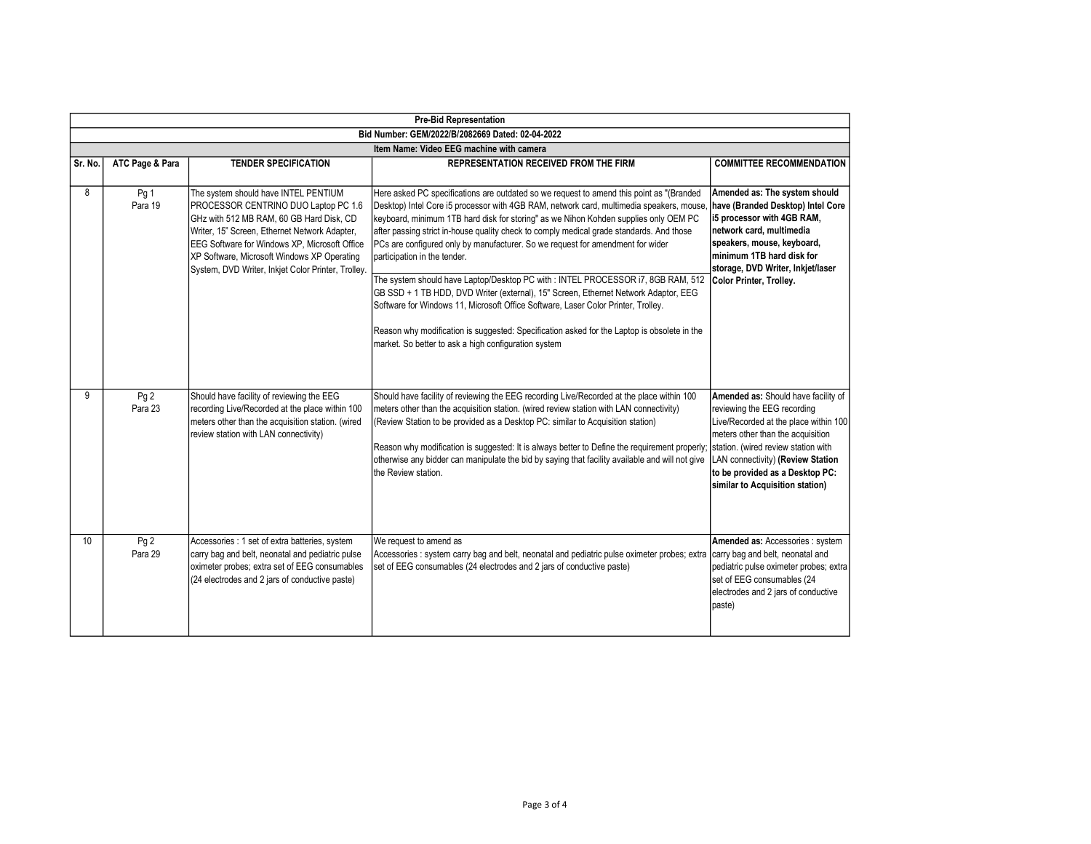|         | <b>Pre-Bid Representation</b>                    |                                                                                                                                                                                                                                                                                                                                        |                                                                                                                                                                                                                                                                                                                                                                                                                                                                                                                                                                                                                                                                                                                                                                                                                                                                                                                  |                                                                                                                                                                                                                                                                                                    |  |
|---------|--------------------------------------------------|----------------------------------------------------------------------------------------------------------------------------------------------------------------------------------------------------------------------------------------------------------------------------------------------------------------------------------------|------------------------------------------------------------------------------------------------------------------------------------------------------------------------------------------------------------------------------------------------------------------------------------------------------------------------------------------------------------------------------------------------------------------------------------------------------------------------------------------------------------------------------------------------------------------------------------------------------------------------------------------------------------------------------------------------------------------------------------------------------------------------------------------------------------------------------------------------------------------------------------------------------------------|----------------------------------------------------------------------------------------------------------------------------------------------------------------------------------------------------------------------------------------------------------------------------------------------------|--|
|         | Bid Number: GEM/2022/B/2082669 Dated: 02-04-2022 |                                                                                                                                                                                                                                                                                                                                        |                                                                                                                                                                                                                                                                                                                                                                                                                                                                                                                                                                                                                                                                                                                                                                                                                                                                                                                  |                                                                                                                                                                                                                                                                                                    |  |
|         | Item Name: Video EEG machine with camera         |                                                                                                                                                                                                                                                                                                                                        |                                                                                                                                                                                                                                                                                                                                                                                                                                                                                                                                                                                                                                                                                                                                                                                                                                                                                                                  |                                                                                                                                                                                                                                                                                                    |  |
| Sr. No. | ATC Page & Para                                  | <b>TENDER SPECIFICATION</b>                                                                                                                                                                                                                                                                                                            | <b>REPRESENTATION RECEIVED FROM THE FIRM</b>                                                                                                                                                                                                                                                                                                                                                                                                                                                                                                                                                                                                                                                                                                                                                                                                                                                                     | <b>COMMITTEE RECOMMENDATION</b>                                                                                                                                                                                                                                                                    |  |
| 8       | Pg 1<br>Para 19                                  | The system should have INTEL PENTIUM<br>PROCESSOR CENTRINO DUO Laptop PC 1.6<br>GHz with 512 MB RAM, 60 GB Hard Disk, CD<br>Writer, 15" Screen, Ethernet Network Adapter,<br><b>EEG Software for Windows XP, Microsoft Office</b><br>XP Software, Microsoft Windows XP Operating<br>System, DVD Writer, Inkjet Color Printer, Trolley. | Here asked PC specifications are outdated so we request to amend this point as "(Branded<br>Desktop) Intel Core i5 processor with 4GB RAM, network card, multimedia speakers, mouse,<br>keyboard, minimum 1TB hard disk for storing" as we Nihon Kohden supplies only OEM PC<br>after passing strict in-house quality check to comply medical grade standards. And those<br>PCs are configured only by manufacturer. So we request for amendment for wider<br>participation in the tender.<br>The system should have Laptop/Desktop PC with: INTEL PROCESSOR i7, 8GB RAM, 512<br>GB SSD + 1 TB HDD, DVD Writer (external), 15" Screen, Ethernet Network Adaptor, EEG<br>Software for Windows 11, Microsoft Office Software, Laser Color Printer, Trolley.<br>Reason why modification is suggested: Specification asked for the Laptop is obsolete in the<br>market. So better to ask a high configuration system | Amended as: The system should<br>have (Branded Desktop) Intel Core<br>15 processor with 4GB RAM,<br>network card, multimedia<br>speakers, mouse, keyboard,<br>minimum 1TB hard disk for<br>storage, DVD Writer, Inkjet/laser<br>Color Printer, Trolley.                                            |  |
| 9       | Pg <sub>2</sub><br>Para 23                       | Should have facility of reviewing the EEG<br>recording Live/Recorded at the place within 100<br>meters other than the acquisition station. (wired<br>review station with LAN connectivity)                                                                                                                                             | Should have facility of reviewing the EEG recording Live/Recorded at the place within 100<br>meters other than the acquisition station. (wired review station with LAN connectivity)<br>(Review Station to be provided as a Desktop PC: similar to Acquisition station)<br>Reason why modification is suggested: It is always better to Define the requirement properly;<br>otherwise any bidder can manipulate the bid by saying that facility available and will not give<br>the Review station.                                                                                                                                                                                                                                                                                                                                                                                                               | Amended as: Should have facility of<br>reviewing the EEG recording<br>Live/Recorded at the place within 100<br>meters other than the acquisition<br>station. (wired review station with<br>LAN connectivity) (Review Station<br>to be provided as a Desktop PC:<br>similar to Acquisition station) |  |
| 10      | Pg <sub>2</sub><br>Para 29                       | Accessories : 1 set of extra batteries, system<br>carry bag and belt, neonatal and pediatric pulse<br>oximeter probes; extra set of EEG consumables<br>(24 electrodes and 2 jars of conductive paste)                                                                                                                                  | We request to amend as<br>Accessories : system carry bag and belt, neonatal and pediatric pulse oximeter probes; extra<br>set of EEG consumables (24 electrodes and 2 jars of conductive paste)                                                                                                                                                                                                                                                                                                                                                                                                                                                                                                                                                                                                                                                                                                                  | Amended as: Accessories : system<br>carry bag and belt, neonatal and<br>pediatric pulse oximeter probes; extra<br>set of EEG consumables (24<br>electrodes and 2 jars of conductive<br>paste)                                                                                                      |  |